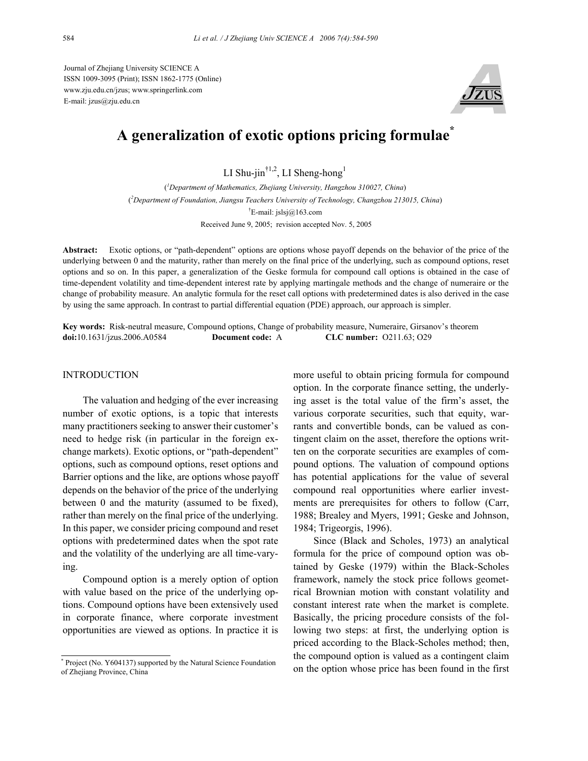Journal of Zhejiang University SCIENCE A ISSN 1009-3095 (Print); ISSN 1862-1775 (Online) www.zju.edu.cn/jzus; www.springerlink.com E-mail: jzus@zju.edu.cn



# **A generalization of exotic options pricing formulae\***

LI Shu-jin<sup>†1,2</sup>, LI Sheng-hong<sup>1</sup>

( *1 Department of Mathematics, Zhejiang University, Hangzhou 310027, China*) ( *2 Department of Foundation, Jiangsu Teachers University of Technology, Changzhou 213015, China*) † E-mail: jslsj@163.com Received June 9, 2005; revision accepted Nov. 5, 2005

**Abstract:** Exotic options, or "path-dependent" options are options whose payoff depends on the behavior of the price of the underlying between 0 and the maturity, rather than merely on the final price of the underlying, such as compound options, reset options and so on. In this paper, a generalization of the Geske formula for compound call options is obtained in the case of time-dependent volatility and time-dependent interest rate by applying martingale methods and the change of numeraire or the change of probability measure. An analytic formula for the reset call options with predetermined dates is also derived in the case by using the same approach. In contrast to partial differential equation (PDE) approach, our approach is simpler.

**Key words:** Risk-neutral measure, Compound options, Change of probability measure, Numeraire, Girsanov's theorem **doi:**10.1631/jzus.2006.A0584 **Document code:** A **CLC number:** O211.63; O29

### INTRODUCTION

The valuation and hedging of the ever increasing number of exotic options, is a topic that interests many practitioners seeking to answer their customer's need to hedge risk (in particular in the foreign exchange markets). Exotic options, or "path-dependent" options, such as compound options, reset options and Barrier options and the like, are options whose payoff depends on the behavior of the price of the underlying between 0 and the maturity (assumed to be fixed), rather than merely on the final price of the underlying. In this paper, we consider pricing compound and reset options with predetermined dates when the spot rate and the volatility of the underlying are all time-varying.

Compound option is a merely option of option with value based on the price of the underlying options. Compound options have been extensively used in corporate finance, where corporate investment opportunities are viewed as options. In practice it is

 Project (No. Y604137) supported by the Natural Science Foundation of Zhejiang Province, China

more useful to obtain pricing formula for compound option. In the corporate finance setting, the underlying asset is the total value of the firm's asset, the various corporate securities, such that equity, warrants and convertible bonds, can be valued as contingent claim on the asset, therefore the options written on the corporate securities are examples of compound options. The valuation of compound options has potential applications for the value of several compound real opportunities where earlier investments are prerequisites for others to follow (Carr, 1988; Brealey and Myers, 1991; Geske and Johnson, 1984; Trigeorgis, 1996).

Since (Black and Scholes, 1973) an analytical formula for the price of compound option was obtained by Geske (1979) within the Black-Scholes framework, namely the stock price follows geometrical Brownian motion with constant volatility and constant interest rate when the market is complete. Basically, the pricing procedure consists of the following two steps: at first, the underlying option is priced according to the Black-Scholes method; then, the compound option is valued as a contingent claim on the option whose price has been found in the first \*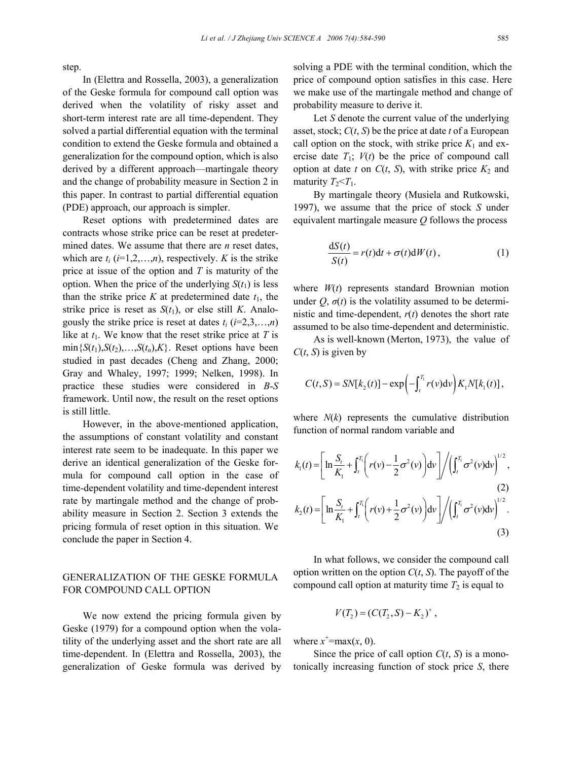step.

In (Elettra and Rossella, 2003), a generalization of the Geske formula for compound call option was derived when the volatility of risky asset and short-term interest rate are all time-dependent. They solved a partial differential equation with the terminal condition to extend the Geske formula and obtained a generalization for the compound option, which is also derived by a different approach—martingale theory and the change of probability measure in Section 2 in this paper. In contrast to partial differential equation (PDE) approach, our approach is simpler.

Reset options with predetermined dates are contracts whose strike price can be reset at predetermined dates. We assume that there are *n* reset dates, which are  $t_i$  ( $i=1,2,...,n$ ), respectively. *K* is the strike price at issue of the option and *T* is maturity of the option. When the price of the underlying  $S(t_1)$  is less than the strike price  $K$  at predetermined date  $t_1$ , the strike price is reset as  $S(t_1)$ , or else still *K*. Analogously the strike price is reset at dates  $t_i$  ( $i=2,3,...,n$ ) like at  $t_1$ . We know that the reset strike price at *T* is  $\min\{S(t_1), S(t_2), \ldots, S(t_n), K\}$ . Reset options have been studied in past decades (Cheng and Zhang, 2000; Gray and Whaley, 1997; 1999; Nelken, 1998). In practice these studies were considered in *B*-*S* framework. Until now, the result on the reset options is still little.

However, in the above-mentioned application, the assumptions of constant volatility and constant interest rate seem to be inadequate. In this paper we derive an identical generalization of the Geske formula for compound call option in the case of time-dependent volatility and time-dependent interest rate by martingale method and the change of probability measure in Section 2. Section 3 extends the pricing formula of reset option in this situation. We conclude the paper in Section 4.

### GENERALIZATION OF THE GESKE FORMULA FOR COMPOUND CALL OPTION

We now extend the pricing formula given by Geske (1979) for a compound option when the volatility of the underlying asset and the short rate are all time-dependent. In (Elettra and Rossella, 2003), the generalization of Geske formula was derived by

solving a PDE with the terminal condition, which the price of compound option satisfies in this case. Here we make use of the martingale method and change of probability measure to derive it.

Let *S* denote the current value of the underlying asset, stock;  $C(t, S)$  be the price at date *t* of a European call option on the stock, with strike price  $K_1$  and exercise date  $T_1$ ;  $V(t)$  be the price of compound call option at date  $t$  on  $C(t, S)$ , with strike price  $K_2$  and maturity  $T_2 < T_1$ .

By martingale theory (Musiela and Rutkowski, 1997), we assume that the price of stock *S* under equivalent martingale measure *Q* follows the process

$$
\frac{dS(t)}{S(t)} = r(t)dt + \sigma(t)dW(t),
$$
\n(1)

where *W*(*t*) represents standard Brownian motion under  $Q$ ,  $\sigma(t)$  is the volatility assumed to be deterministic and time-dependent, *r*(*t*) denotes the short rate assumed to be also time-dependent and deterministic.

As is well-known (Merton, 1973), the value of  $C(t, S)$  is given by

$$
C(t,S)=SN[k_2(t)]-\exp\left(-\int_t^{T_1}r(v)\mathrm{d}v\right)K_1N[k_1(t)],
$$

where  $N(k)$  represents the cumulative distribution function of normal random variable and

$$
k_1(t) = \left[ \ln \frac{S_t}{K_1} + \int_t^{T_1} \left( r(v) - \frac{1}{2} \sigma^2(v) \right) dv \right] / \left( \int_t^{T_1} \sigma^2(v) dv \right)^{1/2},
$$
\n
$$
k_2(t) = \left[ \ln \frac{S_t}{K_1} + \int_t^{T_1} \left( r(v) + \frac{1}{2} \sigma^2(v) \right) dv \right] / \left( \int_t^{T_1} \sigma^2(v) dv \right)^{1/2}.
$$
\n(3)

In what follows, we consider the compound call option written on the option *C*(*t*, *S*). The payoff of the compound call option at maturity time  $T_2$  is equal to

$$
V(T_2) = (C(T_2, S) - K_2)^+,
$$

where  $x^+$ =max( $x$ , 0).

Since the price of call option  $C(t, S)$  is a monotonically increasing function of stock price *S*, there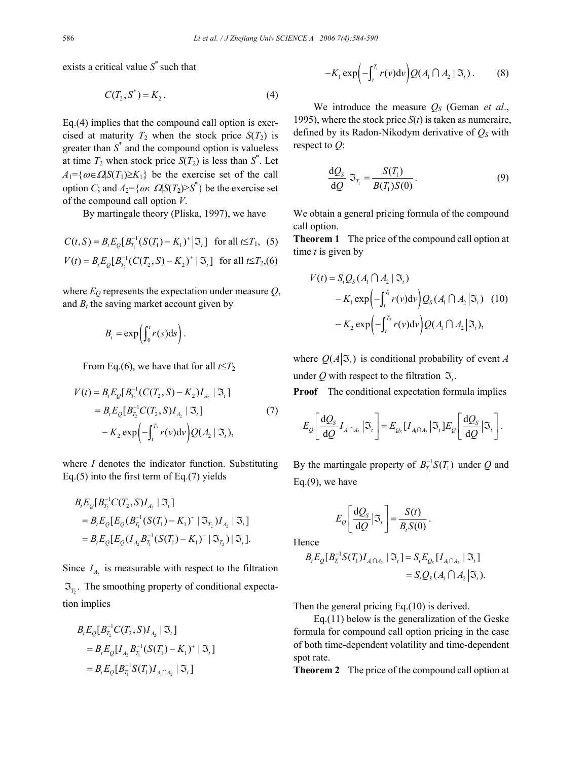exists a critical value *S*\* such that

$$
C(T_2, S^*) = K_2.
$$
 (4)

Eq.(4) implies that the compound call option is exercised at maturity  $T_2$  when the stock price  $S(T_2)$  is greater than  $S^*$  and the compound option is valueless at time  $T_2$  when stock price  $S(T_2)$  is less than  $S^*$ . Let  $A_1 = \{ \omega \in \Omega | S(T_1) \geq K_1 \}$  be the exercise set of the call option *C*; and  $A_2 = \{ \omega \in \Omega | S(T_2) \ge S^* \}$  be the exercise set of the compound call option *V*.

By martingale theory (Pliska, 1997), we have

$$
C(t, S) = B_t E_Q[B_{T_1}^{-1} (S(T_1) - K_1)^+ | \mathfrak{T}_t] \text{ for all } t \le T_1, (5)
$$
  

$$
V(t) = B_t E_Q[B_{T_2}^{-1} (C(T_2, S) - K_2)^+ | \mathfrak{T}_t] \text{ for all } t \le T_2, (6)
$$

where  $E<sub>O</sub>$  represents the expectation under measure  $Q$ , and  $B_t$  the saving market account given by

$$
B_t = \exp\left(\int_0^t r(s) \mathrm{d} s\right).
$$

From Eq.(6), we have that for all  $t \leq T_2$ 

$$
V(t) = B_t E_Q[B_{T_2}^{-1}(C(T_2, S) - K_2)I_{A_2} | \mathfrak{T}_t]
$$
  
=  $B_t E_Q[B_{T_2}^{-1}C(T_2, S)I_{A_2} | \mathfrak{T}_t]$  (7)  
 $- K_2 \exp\left(-\int_t^{T_2} r(v) dv\right) Q(A_2 | \mathfrak{T}_t),$ 

where *I* denotes the indicator function. Substituting Eq.(5) into the first term of Eq.(7) yields

$$
B_{t}E_{Q}[B_{T_{2}}^{-1}C(T_{2}, S)I_{A_{2}} | \mathfrak{T}_{t}]
$$
  
=  $B_{t}E_{Q}[E_{Q}(B_{T_{1}}^{-1}(S(T_{1}) - K_{1})^{+} | \mathfrak{T}_{T_{2}})I_{A_{2}} | \mathfrak{T}_{t}]$   
=  $B_{t}E_{Q}[E_{Q}(I_{A_{2}}B_{T_{1}}^{-1}(S(T_{1}) - K_{1})^{+} | \mathfrak{T}_{T_{2}}) | \mathfrak{T}_{t}].$ 

Since  $I_{A_2}$  is measurable with respect to the filtration  $\mathfrak{I}_{T_2}$ . The smoothing property of conditional expectation implies

$$
B_{t}E_{Q}[B_{T_{2}}^{-1}C(T_{2}, S)I_{A_{2}} | \mathfrak{T}_{t}]
$$
  
=  $B_{t}E_{Q}[I_{A_{2}}B_{T_{1}}^{-1}(S(T_{1}) - K_{1})^{+} | \mathfrak{T}_{t}]$   
=  $B_{t}E_{Q}[B_{T_{1}}^{-1}S(T_{1})I_{A_{1}\cap A_{2}} | \mathfrak{T}_{t}]$ 

$$
-K_1 \exp\left(-\int_t^{T_1} r(v) \mathrm{d}v\right) Q(A_1 \cap A_2 \mid \mathfrak{T}_t).
$$
 (8)

We introduce the measure *QS* (Geman *et al*., 1995), where the stock price *S*(*t*) is taken as numeraire, defined by its Radon-Nikodym derivative of *QS* with respect to *Q*:

$$
\frac{\mathrm{d}Q_S}{\mathrm{d}Q} \Big| \mathfrak{I}_{T_1} = \frac{S(T_1)}{B(T_1)S(0)}.
$$
\n(9)

We obtain a general pricing formula of the compound call option.

**Theorem 1** The price of the compound call option at time *t* is given by

$$
V(t) = S_t Q_S (A_1 \cap A_2 | \mathfrak{T}_t)
$$
  
- K<sub>1</sub> exp $\left(-\int_t^{T_1} r(v) dv\right) Q_S (A_1 \cap A_2 | \mathfrak{T}_t)$  (10)  
- K<sub>2</sub> exp $\left(-\int_t^{T_2} r(v) dv\right) Q(A_1 \cap A_2 | \mathfrak{T}_t)$ ,

where  $Q(A|\mathfrak{T}_t)$  is conditional probability of event *A* under  $Q$  with respect to the filtration  $\mathfrak{I}$ .

**Proof** The conditional expectation formula implies

$$
E_{Q}\left[\frac{\mathrm{d}Q_{S}}{\mathrm{d}Q}I_{A_{1}\cap A_{2}}\big|\mathfrak{I}_{t}\right] = E_{Q_{S}}\left[I_{A_{1}\cap A_{2}}\big|\mathfrak{I}_{t}\right]E_{Q}\left[\frac{\mathrm{d}Q_{S}}{\mathrm{d}Q}\big|\mathfrak{I}_{t}\right].
$$

By the martingale property of  $B_{T_1}^{-1}S(T_1)$  under Q and Eq.(9), we have

$$
E_Q\left[\frac{\mathrm{d}Q_S}{\mathrm{d}Q}\Big|\mathfrak{T}_t\right] = \frac{S(t)}{B_tS(0)}.
$$

Hence

$$
B_{t}E_{Q}[B_{T_{1}}^{-1}S(T_{1})I_{A_{1}\cap A_{2}} | \mathfrak{T}_{t}] = S_{t}E_{Q_{S}}[I_{A_{1}\cap A_{2}} | \mathfrak{T}_{t}]
$$
  
= 
$$
S_{t}Q_{S}(A_{1}\cap A_{2} | \mathfrak{T}_{t}).
$$

Then the general pricing Eq.(10) is derived.

Eq.(11) below is the generalization of the Geske formula for compound call option pricing in the case of both time-dependent volatility and time-dependent spot rate.

**Theorem 2** The price of the compound call option at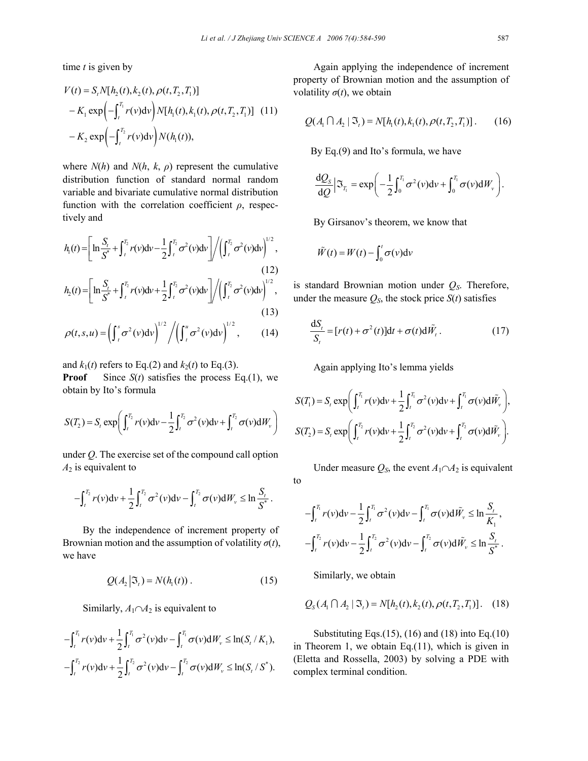time *t* is given by

$$
V(t) = S_t N[h_2(t), k_2(t), \rho(t, T_2, T_1)]
$$
  
- K<sub>1</sub> exp $\left(-\int_t^{T_1} r(v) dv\right) N[h_1(t), k_1(t), \rho(t, T_2, T_1)]$  (11)  
- K<sub>2</sub> exp $\left(-\int_t^{T_2} r(v) dv\right) N(h_1(t)),$ 

where  $N(h)$  and  $N(h, k, \rho)$  represent the cumulative distribution function of standard normal random variable and bivariate cumulative normal distribution function with the correlation coefficient  $\rho$ , respectively and

$$
h_1(t) = \left[ \ln \frac{S_t}{S^*} + \int_t^{T_2} r(v) dv - \frac{1}{2} \int_t^{T_2} \sigma^2(v) dv \right] / \left( \int_t^{T_2} \sigma^2(v) dv \right)^{1/2},
$$
\n(12)

$$
h_2(t) = \left[ \ln \frac{S_t}{S^*} + \int_t^{T_2} r(v) dv + \frac{1}{2} \int_t^{T_2} \sigma^2(v) dv \right] / \left( \int_t^{T_2} \sigma^2(v) dv \right)^{1/2},
$$

$$
(13)
$$

$$
\rho(t,s,u) = \left(\int_t^s \sigma^2(v) dv\right)^{1/2} / \left(\int_t^u \sigma^2(v) dv\right)^{1/2},\qquad(14)
$$

and  $k_1(t)$  refers to Eq.(2) and  $k_2(t)$  to Eq.(3).

**Proof** Since  $S(t)$  satisfies the process Eq.(1), we obtain by Ito's formula

$$
S(T_2) = S_t \exp\left(\int_t^{T_2} r(v) dv - \frac{1}{2} \int_t^{T_2} \sigma^2(v) dv + \int_t^{T_2} \sigma(v) dW_v\right)
$$

under *Q*. The exercise set of the compound call option  $A_2$  is equivalent to

$$
-\int_t^{T_2} r(v) dv + \frac{1}{2}\int_t^{T_2} \sigma^2(v) dv - \int_t^{T_2} \sigma(v) dW_v \leq \ln \frac{S_t}{S^*}.
$$

By the independence of increment property of Brownian motion and the assumption of volatility  $\sigma(t)$ , we have

$$
Q(A_2|\mathfrak{I}_t) = N(h_1(t)). \tag{15}
$$

Similarly,  $A_1 \cap A_2$  is equivalent to

$$
-\int_{t}^{T_{i}} r(v) dv + \frac{1}{2} \int_{t}^{T_{i}} \sigma^{2}(v) dv - \int_{t}^{T_{i}} \sigma(v) dW_{v} \leq \ln(S_{t} / K_{1}),
$$
  

$$
-\int_{t}^{T_{2}} r(v) dv + \frac{1}{2} \int_{t}^{T_{2}} \sigma^{2}(v) dv - \int_{t}^{T_{2}} \sigma(v) dW_{v} \leq \ln(S_{t} / S^{*}).
$$

Again applying the independence of increment property of Brownian motion and the assumption of volatility  $\sigma(t)$ , we obtain

$$
Q(A_1 \cap A_2 \mid \mathfrak{I}_t) = N[h_1(t), k_1(t), \rho(t, T_2, T_1)]. \qquad (16)
$$

By Eq.(9) and Ito's formula, we have

$$
\frac{\mathrm{d}Q_{\mathrm{S}}}{\mathrm{d}Q}\Big|\mathfrak{I}_{T_1}=\exp\bigg(-\frac{1}{2}\int_0^{T_1}\sigma^2(v)\mathrm{d}v+\int_0^{T_1}\sigma(v)\mathrm{d}W_v\bigg).
$$

By Girsanov's theorem, we know that

$$
\tilde{W}(t) = W(t) - \int_0^t \sigma(v) \mathrm{d}v
$$

is standard Brownian motion under *QS*. Therefore, under the measure  $Q_S$ , the stock price  $S(t)$  satisfies

$$
\frac{\mathrm{d}S_t}{S_t} = [r(t) + \sigma^2(t)]\mathrm{d}t + \sigma(t)\mathrm{d}\tilde{W}_t. \tag{17}
$$

Again applying Ito's lemma yields

$$
S(T_1) = S_t \exp\left(\int_t^{T_1} r(v) dv + \frac{1}{2} \int_t^{T_1} \sigma^2(v) dv + \int_t^{T_1} \sigma(v) d\tilde{W}_v\right),
$$
  

$$
S(T_2) = S_t \exp\left(\int_t^{T_2} r(v) dv + \frac{1}{2} \int_t^{T_2} \sigma^2(v) dv + \int_t^{T_2} \sigma(v) d\tilde{W}_v\right).
$$

Under measure  $Q_S$ , the event  $A_1 \cap A_2$  is equivalent

$$
-\int_{t}^{T_{i}} r(v) dv - \frac{1}{2} \int_{t}^{T_{i}} \sigma^{2}(v) dv - \int_{t}^{T_{i}} \sigma(v) d\tilde{W}_{v} \leq \ln \frac{S_{t}}{K_{1}},
$$
  

$$
-\int_{t}^{T_{2}} r(v) dv - \frac{1}{2} \int_{t}^{T_{2}} \sigma^{2}(v) dv - \int_{t}^{T_{2}} \sigma(v) d\tilde{W}_{v} \leq \ln \frac{S_{t}}{S^{*}}.
$$

Similarly, we obtain

to

$$
Q_{\rm S}(A_{\rm l} \cap A_{\rm 2} \mid \mathfrak{I}_t) = N[h_2(t), k_2(t), \rho(t, T_2, T_1)]. \quad (18)
$$

Substituting Eqs. $(15)$ ,  $(16)$  and  $(18)$  into Eq. $(10)$ in Theorem 1, we obtain Eq.(11), which is given in (Eletta and Rossella, 2003) by solving a PDE with complex terminal condition.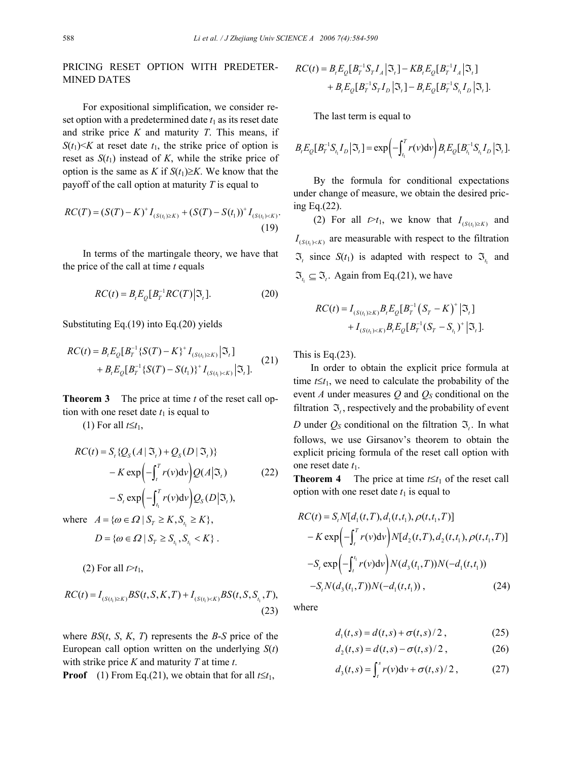## PRICING RESET OPTION WITH PREDETER-MINED DATES

For expositional simplification, we consider reset option with a predetermined date  $t_1$  as its reset date and strike price *K* and maturity *T*. This means, if  $S(t_1) \le K$  at reset date  $t_1$ , the strike price of option is reset as  $S(t_1)$  instead of *K*, while the strike price of option is the same as *K* if  $S(t_1) \ge K$ . We know that the payoff of the call option at maturity *T* is equal to

$$
RC(T) = (S(T) - K)^{+} I_{(S(t_1) \ge K)} + (S(T) - S(t_1))^{+} I_{(S(t_1) < K)}.
$$
\n(19)

In terms of the martingale theory, we have that the price of the call at time *t* equals

$$
RC(t) = Bt EQ [BT-1 RC(T) | \mathfrak{I}t ].
$$
 (20)

Substituting Eq.(19) into Eq.(20) yields

$$
RC(t) = B_t E_Q[B_T^{-1} \{ S(T) - K \}^+ I_{(S(t_1) \ge K)} | \mathfrak{T}_t] + B_t E_Q[B_T^{-1} \{ S(T) - S(t_1) \}^+ I_{(S(t_1) \lt K)} | \mathfrak{T}_t].
$$
 (21)

**Theorem 3** The price at time *t* of the reset call option with one reset date  $t_1$  is equal to

(1) For all  $t \leq t_1$ ,

$$
RC(t) = S_t \{Q_S(A | \mathfrak{T}_t) + Q_S(D | \mathfrak{T}_t)\}
$$

$$
- K \exp\left(-\int_t^T r(v) \, dv\right) Q(A | \mathfrak{T}_t) \tag{22}
$$

$$
- S_t \exp\left(-\int_{t_1}^T r(v) \, dv\right) Q_S(D | \mathfrak{T}_t),
$$

where  $A = \{ \omega \in \Omega \mid S_T \ge K, S_L \ge K \},\$  $D = \{ \omega \in \Omega \mid S_T \ge S_t, S_t < K \}.$ 

(2) For all  $t > t_1$ ,

$$
RC(t) = I_{(S(t_1)\geq K)} BS(t, S, K, T) + I_{(S(t_1)\ltimes K)} BS(t, S, S_{t_1}, T),
$$
\n(23)

where  $BS(t, S, K, T)$  represents the *B*-*S* price of the European call option written on the underlying *S*(*t*) with strike price *K* and maturity *T* at time *t*.

**Proof** (1) From Eq.(21), we obtain that for all  $t \le t_1$ ,

$$
RC(t) = B_t E_Q[B_T^{-1} S_T I_A | \mathfrak{T}_t] - KB_t E_Q[B_T^{-1} I_A | \mathfrak{T}_t] + B_t E_Q[B_T^{-1} S_T I_D | \mathfrak{T}_t] - B_t E_Q[B_T^{-1} S_{t_1} I_D | \mathfrak{T}_t].
$$

The last term is equal to

$$
B_{\ell}E_{\mathcal{Q}}[B_{T}^{-1}S_{t_{1}}I_{D}|\mathfrak{T}_{\ell}]=\exp\biggl(-\int_{t_{1}}^{T}r(v)\mathrm{d}v\biggr)B_{\ell}E_{\mathcal{Q}}[B_{t_{1}}^{-1}S_{t_{1}}I_{D}|\mathfrak{T}_{\ell}].
$$

By the formula for conditional expectations under change of measure, we obtain the desired pricing Eq.(22).

(2) For all  $t>t_1$ , we know that  $I_{(S(t_1) \geq K)}$  and  $I_{(S(t_1) \lt K)}$  are measurable with respect to the filtration  $\mathfrak{I}_t$  since  $S(t_1)$  is adapted with respect to  $\mathfrak{I}_{t_1}$  and  $\mathfrak{I}_{t_i} \subseteq \mathfrak{I}_t$ . Again from Eq.(21), we have

$$
RC(t) = I_{(S(t_1)\geq K)} B_t E_Q [B_T^{-1} (S_T - K)^+ | \mathfrak{T}_t ]
$$
  
+  $I_{(S(t_1)\leq K)} B_t E_Q [B_T^{-1} (S_T - S_{t_1})^+ | \mathfrak{T}_t ].$ 

This is Eq. $(23)$ .

 In order to obtain the explicit price formula at time  $t \leq t_1$ , we need to calculate the probability of the event *A* under measures  $Q$  and  $Q_S$  conditional on the filtration  $\mathfrak{I}$ , respectively and the probability of event *D* under  $Q_s$  conditional on the filtration  $\mathfrak{I}_t$ . In what follows, we use Girsanov's theorem to obtain the explicit pricing formula of the reset call option with one reset date *t*1.

**Theorem 4** The price at time  $t \leq t_1$  of the reset call option with one reset date  $t_1$  is equal to

$$
RC(t) = S_t N[d_1(t, T), d_1(t, t_1), \rho(t, t_1, T)]
$$
  
\n
$$
- K \exp\left(-\int_t^T r(v) \, dv\right) N[d_2(t, T), d_2(t, t_1), \rho(t, t_1, T)]
$$
  
\n
$$
- S_t \exp\left(-\int_t^{t_1} r(v) \, dv\right) N(d_3(t_1, T)) N(-d_1(t, t_1))
$$
  
\n
$$
- S_t N(d_3(t_1, T)) N(-d_1(t, t_1)), \tag{24}
$$

where

$$
d_1(t,s) = d(t,s) + \sigma(t,s)/2, \qquad (25)
$$

$$
d_2(t,s) = d(t,s) - \sigma(t,s)/2 , \qquad (26)
$$

$$
d_3(t,s) = \int_t^s r(v) \, dv + \sigma(t,s)/2 \,, \tag{27}
$$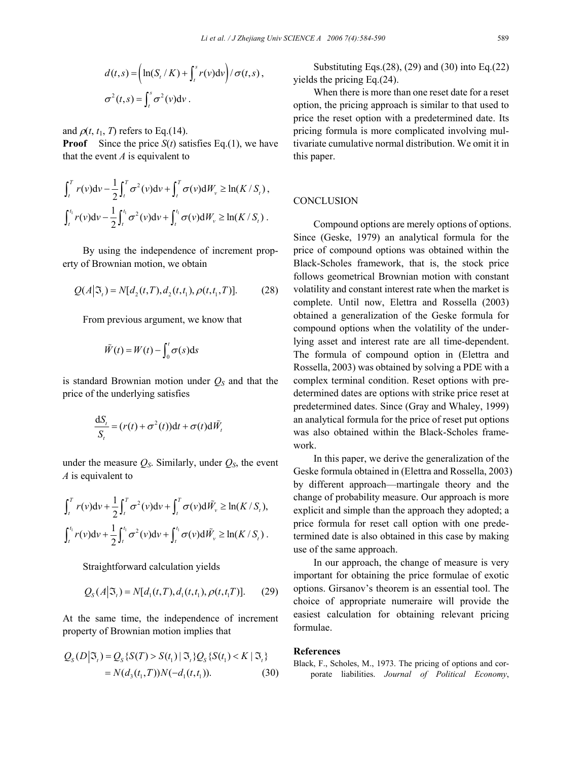$$
d(t,s) = \left(\ln(S_t/K) + \int_t^s r(v) dv\right) / \sigma(t,s),
$$
  

$$
\sigma^2(t,s) = \int_t^s \sigma^2(v) dv.
$$

and  $\rho(t, t_1, T)$  refers to Eq.(14).

**Proof** Since the price  $S(t)$  satisfies Eq.(1), we have that the event *A* is equivalent to

$$
\int_{t}^{T} r(v) dv - \frac{1}{2} \int_{t}^{T} \sigma^{2}(v) dv + \int_{t}^{T} \sigma(v) dW_{v} \ge \ln(K / S_{t}),
$$
  

$$
\int_{t}^{t_{1}} r(v) dv - \frac{1}{2} \int_{t}^{t_{1}} \sigma^{2}(v) dv + \int_{t}^{t_{1}} \sigma(v) dW_{v} \ge \ln(K / S_{t}).
$$

By using the independence of increment property of Brownian motion, we obtain

$$
Q(A|\mathfrak{T}_t) = N[d_2(t,T), d_2(t,t_1), \rho(t,t_1,T)].
$$
 (28)

From previous argument, we know that

$$
\tilde{W}(t) = W(t) - \int_0^t \sigma(s) \, \mathrm{d} s
$$

is standard Brownian motion under  $Q_S$  and that the price of the underlying satisfies

$$
\frac{\mathrm{d}S_t}{S_t} = (r(t) + \sigma^2(t))\mathrm{d}t + \sigma(t)\mathrm{d}\tilde{W}_t
$$

under the measure  $Q_S$ . Similarly, under  $Q_S$ , the event *A* is equivalent to

$$
\int_t^T r(v) \mathrm{d}v + \frac{1}{2} \int_t^T \sigma^2(v) \mathrm{d}v + \int_t^T \sigma(v) \mathrm{d}\tilde{W}_v \ge \ln(K/S_t),
$$
  

$$
\int_t^{t_1} r(v) \mathrm{d}v + \frac{1}{2} \int_t^{t_1} \sigma^2(v) \mathrm{d}v + \int_t^{t_1} \sigma(v) \mathrm{d}\tilde{W}_v \ge \ln(K/S_t).
$$

Straightforward calculation yields

$$
Q_{s}(A|\mathfrak{I}_{t}) = N[d_{1}(t, T), d_{1}(t, t_{1}), \rho(t, t_{1}T)].
$$
 (29)

At the same time, the independence of increment property of Brownian motion implies that

$$
Q_{S}(D|\mathfrak{T}_{t}) = Q_{S} \{ S(T) > S(t_{1}) | \mathfrak{T}_{t} \} Q_{S} \{ S(t_{1}) < K | \mathfrak{T}_{t} \}
$$
  
=  $N(d_{3}(t_{1}, T))N(-d_{1}(t, t_{1})).$  (30)

Substituting Eqs. $(28)$ ,  $(29)$  and  $(30)$  into Eq. $(22)$ yields the pricing Eq.(24).

When there is more than one reset date for a reset option, the pricing approach is similar to that used to price the reset option with a predetermined date. Its pricing formula is more complicated involving multivariate cumulative normal distribution. We omit it in this paper.

### **CONCLUSION**

Compound options are merely options of options. Since (Geske, 1979) an analytical formula for the price of compound options was obtained within the Black-Scholes framework, that is, the stock price follows geometrical Brownian motion with constant volatility and constant interest rate when the market is complete. Until now, Elettra and Rossella (2003) obtained a generalization of the Geske formula for compound options when the volatility of the underlying asset and interest rate are all time-dependent. The formula of compound option in (Elettra and Rossella, 2003) was obtained by solving a PDE with a complex terminal condition. Reset options with predetermined dates are options with strike price reset at predetermined dates. Since (Gray and Whaley, 1999) an analytical formula for the price of reset put options was also obtained within the Black-Scholes framework.

In this paper, we derive the generalization of the Geske formula obtained in (Elettra and Rossella, 2003) by different approach—martingale theory and the change of probability measure. Our approach is more explicit and simple than the approach they adopted; a price formula for reset call option with one predetermined date is also obtained in this case by making use of the same approach.

In our approach, the change of measure is very important for obtaining the price formulae of exotic options. Girsanov's theorem is an essential tool. The choice of appropriate numeraire will provide the easiest calculation for obtaining relevant pricing formulae.

#### **References**

Black, F., Scholes, M., 1973. The pricing of options and corporate liabilities. *Journal of Political Economy*,